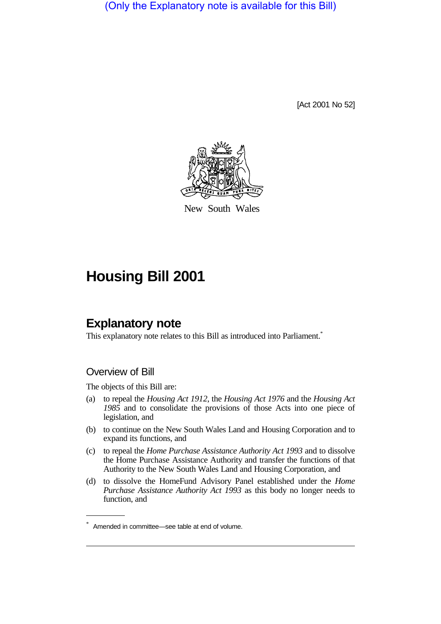(Only the Explanatory note is available for this Bill)

[Act 2001 No 52]



New South Wales

# **Housing Bill 2001**

# **Explanatory note**

This explanatory note relates to this Bill as introduced into Parliament.<sup>\*</sup>

### Overview of Bill

The objects of this Bill are:

- (a) to repeal the *Housing Act 1912*, the *Housing Act 1976* and the *Housing Act 1985* and to consolidate the provisions of those Acts into one piece of legislation, and
- (b) to continue on the New South Wales Land and Housing Corporation and to expand its functions, and
- (c) to repeal the *Home Purchase Assistance Authority Act 1993* and to dissolve the Home Purchase Assistance Authority and transfer the functions of that Authority to the New South Wales Land and Housing Corporation, and
- (d) to dissolve the HomeFund Advisory Panel established under the *Home Purchase Assistance Authority Act 1993* as this body no longer needs to function, and

<sup>\*</sup> Amended in committee—see table at end of volume.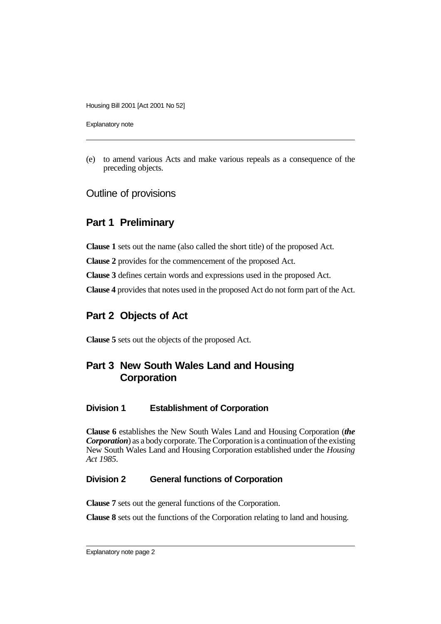Explanatory note

(e) to amend various Acts and make various repeals as a consequence of the preceding objects.

Outline of provisions

### **Part 1 Preliminary**

**Clause 1** sets out the name (also called the short title) of the proposed Act.

**Clause 2** provides for the commencement of the proposed Act.

**Clause 3** defines certain words and expressions used in the proposed Act.

**Clause 4** provides that notes used in the proposed Act do not form part of the Act.

### **Part 2 Objects of Act**

**Clause 5** sets out the objects of the proposed Act.

## **Part 3 New South Wales Land and Housing Corporation**

#### **Division 1 Establishment of Corporation**

**Clause 6** establishes the New South Wales Land and Housing Corporation (*the Corporation*) as a body corporate. The Corporation is a continuation of the existing New South Wales Land and Housing Corporation established under the *Housing Act 1985*.

#### **Division 2 General functions of Corporation**

**Clause 7** sets out the general functions of the Corporation.

**Clause 8** sets out the functions of the Corporation relating to land and housing.

Explanatory note page 2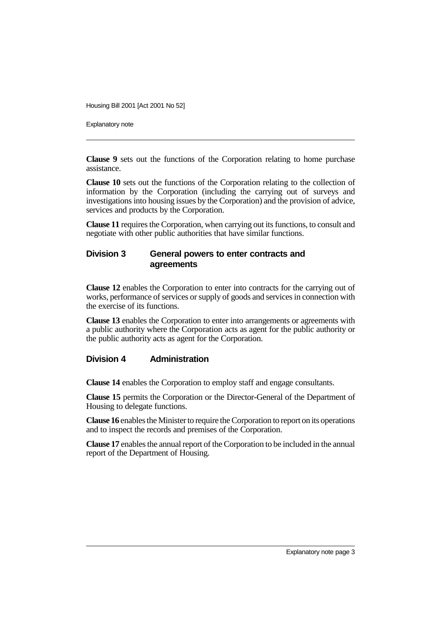Explanatory note

**Clause 9** sets out the functions of the Corporation relating to home purchase assistance.

**Clause 10** sets out the functions of the Corporation relating to the collection of information by the Corporation (including the carrying out of surveys and investigations into housing issues by the Corporation) and the provision of advice, services and products by the Corporation.

**Clause 11** requires the Corporation, when carrying out its functions, to consult and negotiate with other public authorities that have similar functions.

#### **Division 3 General powers to enter contracts and agreements**

**Clause 12** enables the Corporation to enter into contracts for the carrying out of works, performance of services or supply of goods and services in connection with the exercise of its functions.

**Clause 13** enables the Corporation to enter into arrangements or agreements with a public authority where the Corporation acts as agent for the public authority or the public authority acts as agent for the Corporation.

#### **Division 4 Administration**

**Clause 14** enables the Corporation to employ staff and engage consultants.

**Clause 15** permits the Corporation or the Director-General of the Department of Housing to delegate functions.

**Clause 16** enables the Minister to require the Corporation to report on its operations and to inspect the records and premises of the Corporation.

**Clause 17** enables the annual report of the Corporation to be included in the annual report of the Department of Housing.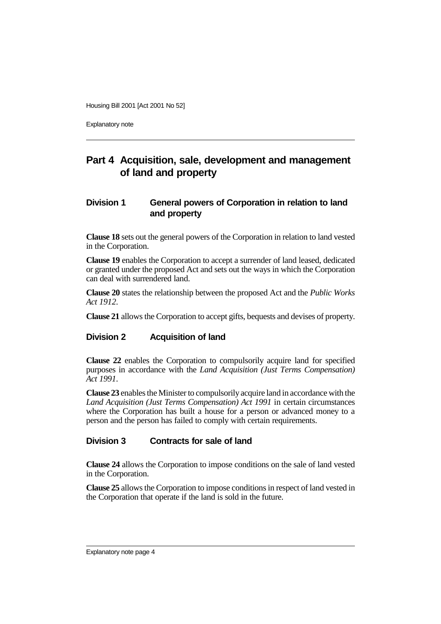Explanatory note

# **Part 4 Acquisition, sale, development and management of land and property**

### **Division 1 General powers of Corporation in relation to land and property**

**Clause 18** sets out the general powers of the Corporation in relation to land vested in the Corporation.

**Clause 19** enables the Corporation to accept a surrender of land leased, dedicated or granted under the proposed Act and sets out the ways in which the Corporation can deal with surrendered land.

**Clause 20** states the relationship between the proposed Act and the *Public Works Act 1912*.

**Clause 21** allows the Corporation to accept gifts, bequests and devises of property.

#### **Division 2 Acquisition of land**

**Clause 22** enables the Corporation to compulsorily acquire land for specified purposes in accordance with the *Land Acquisition (Just Terms Compensation) Act 1991*.

**Clause 23** enables the Minister to compulsorily acquire land in accordance with the *Land Acquisition (Just Terms Compensation) Act 1991* in certain circumstances where the Corporation has built a house for a person or advanced money to a person and the person has failed to comply with certain requirements.

#### **Division 3 Contracts for sale of land**

**Clause 24** allows the Corporation to impose conditions on the sale of land vested in the Corporation.

**Clause 25** allows the Corporation to impose conditions in respect of land vested in the Corporation that operate if the land is sold in the future.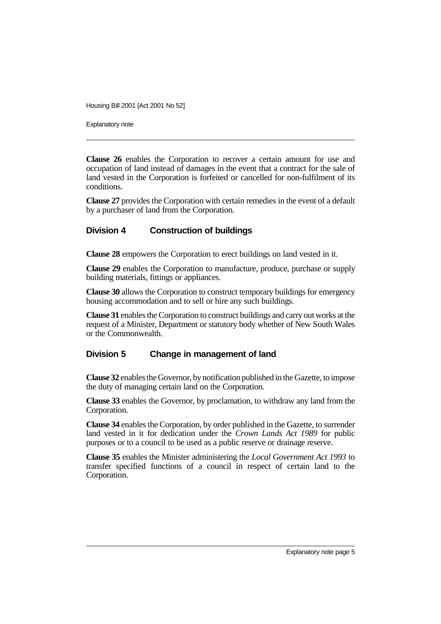Explanatory note

**Clause 26** enables the Corporation to recover a certain amount for use and occupation of land instead of damages in the event that a contract for the sale of land vested in the Corporation is forfeited or cancelled for non-fulfilment of its conditions.

**Clause 27** provides the Corporation with certain remedies in the event of a default by a purchaser of land from the Corporation.

#### **Division 4 Construction of buildings**

**Clause 28** empowers the Corporation to erect buildings on land vested in it.

**Clause 29** enables the Corporation to manufacture, produce, purchase or supply building materials, fittings or appliances.

**Clause 30** allows the Corporation to construct temporary buildings for emergency housing accommodation and to sell or hire any such buildings.

**Clause 31** enables the Corporation to construct buildings and carry out works at the request of a Minister, Department or statutory body whether of New South Wales or the Commonwealth.

#### **Division 5 Change in management of land**

**Clause 32** enables the Governor, by notification published in the Gazette, to impose the duty of managing certain land on the Corporation.

**Clause 33** enables the Governor, by proclamation, to withdraw any land from the Corporation.

**Clause 34** enables the Corporation, by order published in the Gazette, to surrender land vested in it for dedication under the *Crown Lands Act 1989* for public purposes or to a council to be used as a public reserve or drainage reserve.

**Clause 35** enables the Minister administering the *Local Government Act 1993* to transfer specified functions of a council in respect of certain land to the Corporation.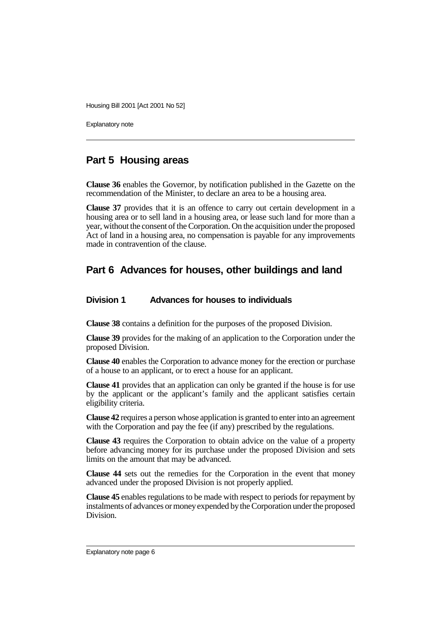Explanatory note

### **Part 5 Housing areas**

**Clause 36** enables the Governor, by notification published in the Gazette on the recommendation of the Minister, to declare an area to be a housing area.

**Clause 37** provides that it is an offence to carry out certain development in a housing area or to sell land in a housing area, or lease such land for more than a year, without the consent of the Corporation. On the acquisition under the proposed Act of land in a housing area, no compensation is payable for any improvements made in contravention of the clause.

### **Part 6 Advances for houses, other buildings and land**

#### **Division 1 Advances for houses to individuals**

**Clause 38** contains a definition for the purposes of the proposed Division.

**Clause 39** provides for the making of an application to the Corporation under the proposed Division.

**Clause 40** enables the Corporation to advance money for the erection or purchase of a house to an applicant, or to erect a house for an applicant.

**Clause 41** provides that an application can only be granted if the house is for use by the applicant or the applicant's family and the applicant satisfies certain eligibility criteria.

**Clause 42** requires a person whose application is granted to enter into an agreement with the Corporation and pay the fee (if any) prescribed by the regulations.

**Clause 43** requires the Corporation to obtain advice on the value of a property before advancing money for its purchase under the proposed Division and sets limits on the amount that may be advanced.

**Clause 44** sets out the remedies for the Corporation in the event that money advanced under the proposed Division is not properly applied.

**Clause 45** enables regulations to be made with respect to periods for repayment by instalments of advances or money expended by the Corporation under the proposed Division.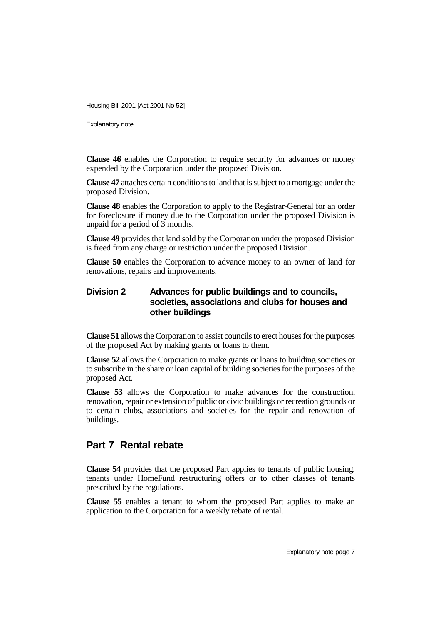Explanatory note

**Clause 46** enables the Corporation to require security for advances or money expended by the Corporation under the proposed Division.

**Clause 47** attaches certain conditions to land that is subject to a mortgage under the proposed Division.

**Clause 48** enables the Corporation to apply to the Registrar-General for an order for foreclosure if money due to the Corporation under the proposed Division is unpaid for a period of 3 months.

**Clause 49** provides that land sold by the Corporation under the proposed Division is freed from any charge or restriction under the proposed Division.

**Clause 50** enables the Corporation to advance money to an owner of land for renovations, repairs and improvements.

#### **Division 2 Advances for public buildings and to councils, societies, associations and clubs for houses and other buildings**

**Clause 51** allows the Corporation to assist councils to erect houses for the purposes of the proposed Act by making grants or loans to them.

**Clause 52** allows the Corporation to make grants or loans to building societies or to subscribe in the share or loan capital of building societies for the purposes of the proposed Act.

**Clause 53** allows the Corporation to make advances for the construction, renovation, repair or extension of public or civic buildings or recreation grounds or to certain clubs, associations and societies for the repair and renovation of buildings.

#### **Part 7 Rental rebate**

**Clause 54** provides that the proposed Part applies to tenants of public housing, tenants under HomeFund restructuring offers or to other classes of tenants prescribed by the regulations.

**Clause 55** enables a tenant to whom the proposed Part applies to make an application to the Corporation for a weekly rebate of rental.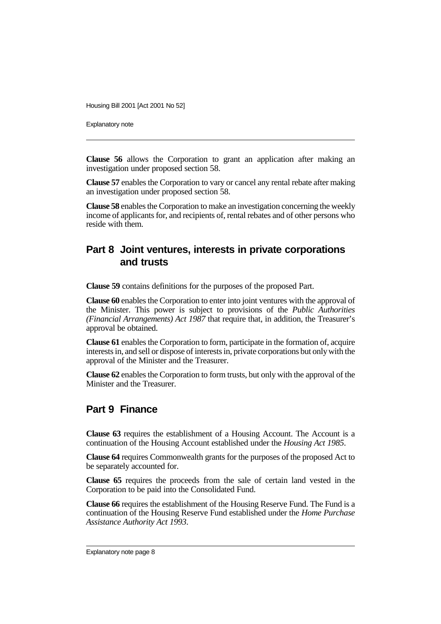Explanatory note

**Clause 56** allows the Corporation to grant an application after making an investigation under proposed section 58.

**Clause 57** enables the Corporation to vary or cancel any rental rebate after making an investigation under proposed section 58.

**Clause 58** enables the Corporation to make an investigation concerning the weekly income of applicants for, and recipients of, rental rebates and of other persons who reside with them.

### **Part 8 Joint ventures, interests in private corporations and trusts**

**Clause 59** contains definitions for the purposes of the proposed Part.

**Clause 60** enables the Corporation to enter into joint ventures with the approval of the Minister. This power is subject to provisions of the *Public Authorities (Financial Arrangements) Act 1987* that require that, in addition, the Treasurer's approval be obtained.

**Clause 61** enables the Corporation to form, participate in the formation of, acquire interests in, and sell or dispose of interests in, private corporations but only with the approval of the Minister and the Treasurer.

**Clause 62** enables the Corporation to form trusts, but only with the approval of the Minister and the Treasurer.

### **Part 9 Finance**

**Clause 63** requires the establishment of a Housing Account. The Account is a continuation of the Housing Account established under the *Housing Act 1985*.

**Clause 64** requires Commonwealth grants for the purposes of the proposed Act to be separately accounted for.

**Clause 65** requires the proceeds from the sale of certain land vested in the Corporation to be paid into the Consolidated Fund.

**Clause 66** requires the establishment of the Housing Reserve Fund. The Fund is a continuation of the Housing Reserve Fund established under the *Home Purchase Assistance Authority Act 1993*.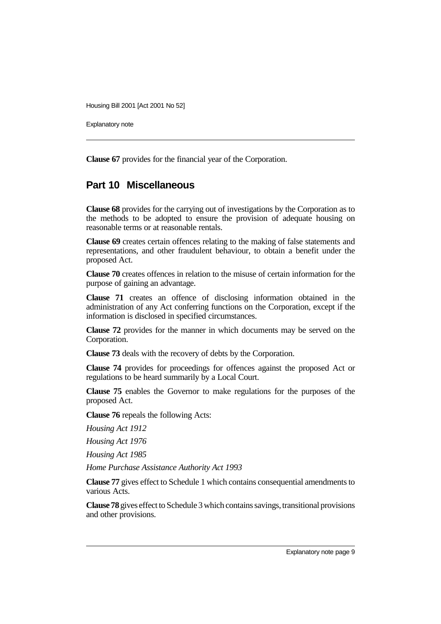Explanatory note

**Clause 67** provides for the financial year of the Corporation.

### **Part 10 Miscellaneous**

**Clause 68** provides for the carrying out of investigations by the Corporation as to the methods to be adopted to ensure the provision of adequate housing on reasonable terms or at reasonable rentals.

**Clause 69** creates certain offences relating to the making of false statements and representations, and other fraudulent behaviour, to obtain a benefit under the proposed Act.

**Clause 70** creates offences in relation to the misuse of certain information for the purpose of gaining an advantage.

**Clause 71** creates an offence of disclosing information obtained in the administration of any Act conferring functions on the Corporation, except if the information is disclosed in specified circumstances.

**Clause 72** provides for the manner in which documents may be served on the Corporation.

**Clause 73** deals with the recovery of debts by the Corporation.

**Clause 74** provides for proceedings for offences against the proposed Act or regulations to be heard summarily by a Local Court.

**Clause 75** enables the Governor to make regulations for the purposes of the proposed Act.

**Clause 76** repeals the following Acts:

*Housing Act 1912*

*Housing Act 1976*

*Housing Act 1985*

*Home Purchase Assistance Authority Act 1993*

**Clause 77** gives effect to Schedule 1 which contains consequential amendments to various Acts.

**Clause 78** gives effect to Schedule 3 which contains savings, transitional provisions and other provisions.